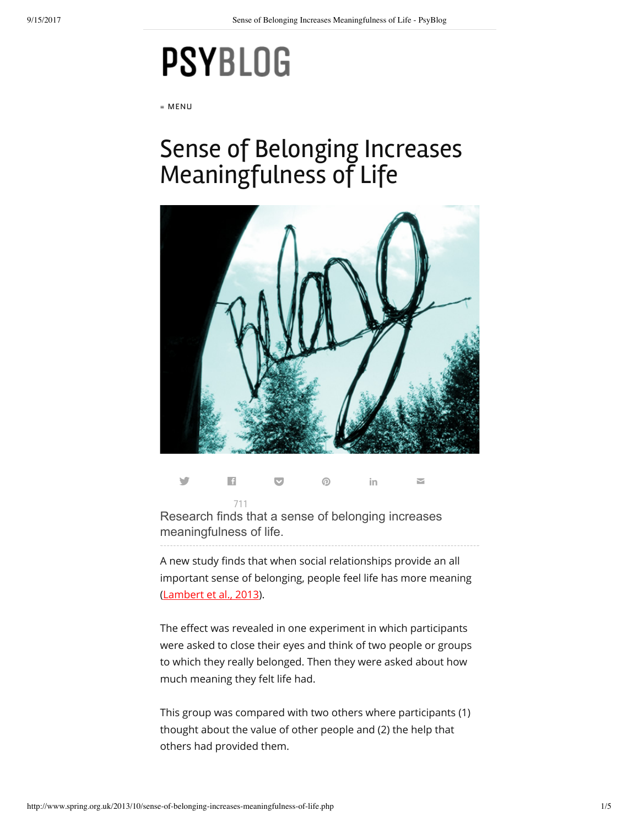## **PSYBLOG**

≡ MENU

## Sense of Belonging Increases Meaningfulness of Life



Research finds that a sense of belonging increases y E [711](http://www.facebook.com/sharer.php?u=http%3A%2F%2Fwww.spring.org.uk%2F2013%2F10%2Fsense-of-belonging-increases-meaningfulness-of-life.php)  $\bullet$  0 in  $\bullet$ 

meaningfulness of life.

A new study finds that when social relationships provide an all important sense of belonging, people feel life has more meaning ([Lambert et al., 2013](http://dx.doi.org/10.1177/0146167213499186)).

The effect was revealed in one experiment in which participants were asked to close their eyes and think of two people or groups to which they really belonged. Then they were asked about how much meaning they felt life had.

This group was compared with two others where participants (1) thought about the value of other people and (2) the help that others had provided them.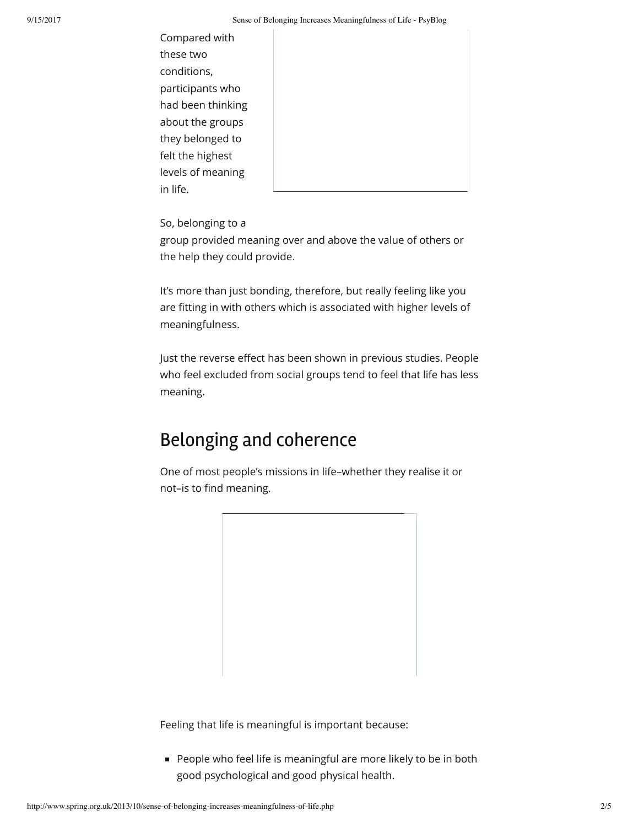Compared with these two conditions, participants who had been thinking about the groups they belonged to felt the highest levels of meaning in life.

So, belonging to a group provided meaning over and above the value of others or the help they could provide.

It's more than just bonding, therefore, but really feeling like you are fitting in with others which is associated with higher levels of meaningfulness.

Just the reverse effect has been shown in previous studies. People who feel excluded from social groups tend to feel that life has less meaning.

## Belonging and coherence

One of most people's missions in life–whether they realise it or not-is to find meaning.

Feeling that life is meaningful is important because:

**People who feel life is meaningful are more likely to be in both** good psychological and good physical health.